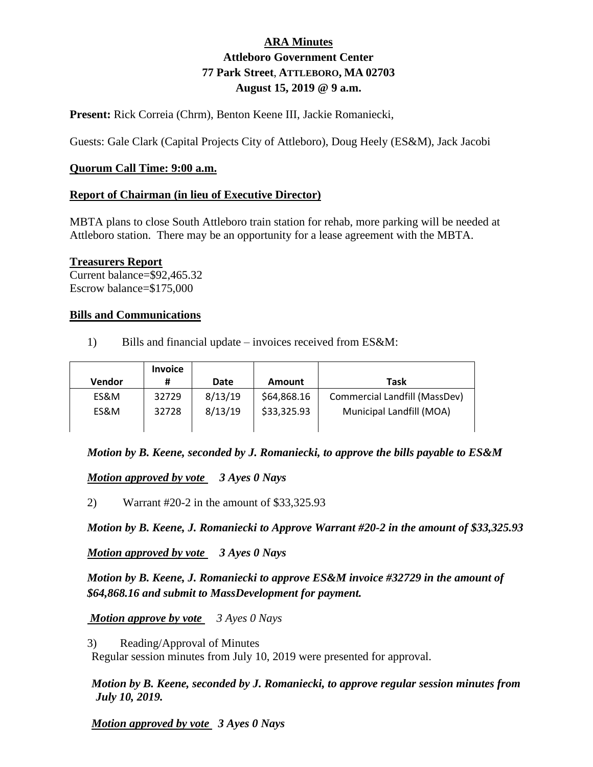# **ARA Minutes Attleboro Government Center 77 Park Street**, **ATTLEBORO, MA 02703 August 15, 2019 @ 9 a.m.**

**Present:** Rick Correia (Chrm), Benton Keene III, Jackie Romaniecki,

Guests: Gale Clark (Capital Projects City of Attleboro), Doug Heely (ES&M), Jack Jacobi

#### **Quorum Call Time: 9:00 a.m.**

#### **Report of Chairman (in lieu of Executive Director)**

MBTA plans to close South Attleboro train station for rehab, more parking will be needed at Attleboro station. There may be an opportunity for a lease agreement with the MBTA.

#### **Treasurers Report**

Current balance=\$92,465.32 Escrow balance=\$175,000

#### **Bills and Communications**

1) Bills and financial update – invoices received from ES&M:

|        | <b>Invoice</b> |         |             |                               |
|--------|----------------|---------|-------------|-------------------------------|
| Vendor | #              | Date    | Amount      | Task                          |
| ES&M   | 32729          | 8/13/19 | \$64,868.16 | Commercial Landfill (MassDev) |
| ES&M   | 32728          | 8/13/19 | \$33,325.93 | Municipal Landfill (MOA)      |
|        |                |         |             |                               |

*Motion by B. Keene, seconded by J. Romaniecki, to approve the bills payable to ES&M*

*Motion approved by vote 3 Ayes 0 Nays*

2) Warrant #20-2 in the amount of \$33,325.93

*Motion by B. Keene, J. Romaniecki to Approve Warrant #20-2 in the amount of \$33,325.93*

*Motion approved by vote 3 Ayes 0 Nays*

*Motion by B. Keene, J. Romaniecki to approve ES&M invoice #32729 in the amount of \$64,868.16 and submit to MassDevelopment for payment.*

*Motion approve by vote 3 Ayes 0 Nays*

3) Reading/Approval of Minutes

Regular session minutes from July 10, 2019 were presented for approval.

*Motion by B. Keene, seconded by J. Romaniecki, to approve regular session minutes from July 10, 2019.* 

*Motion approved by vote 3 Ayes 0 Nays*